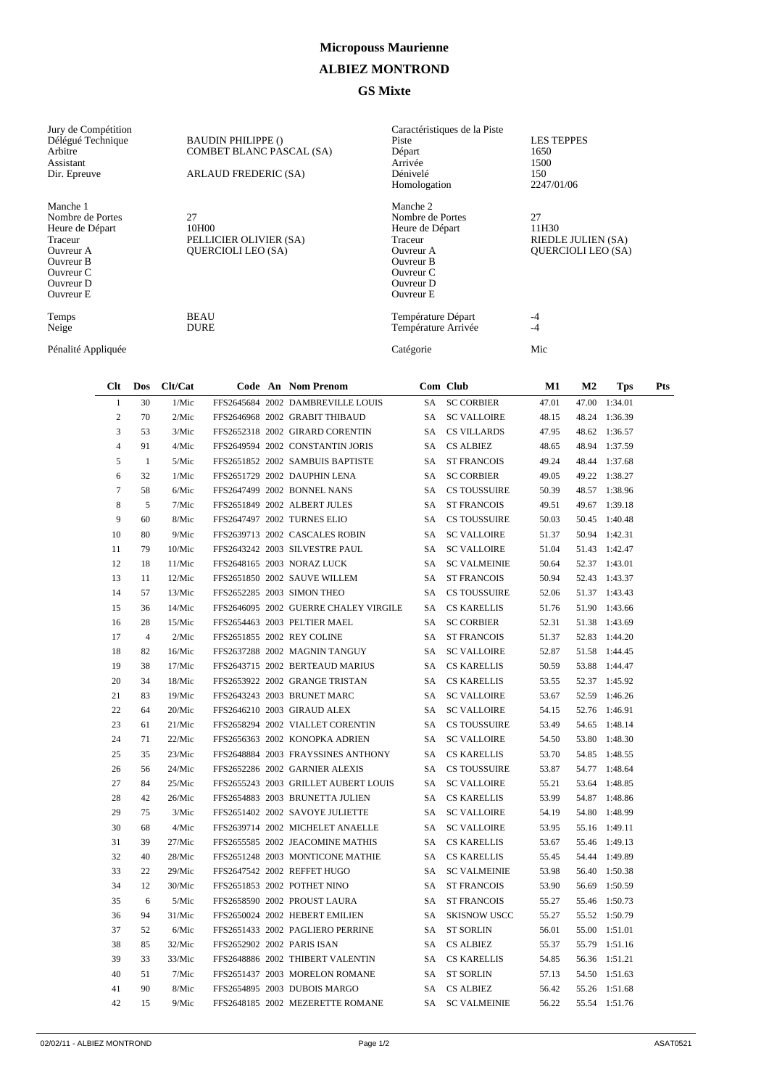## **Micropouss Maurienne**

## **ALBIEZ MONTROND**

## **GS Mixte**

| Jury de Compétition<br>Délégué Technique<br>Arbitre<br>Assistant<br>Dir. Epreuve                                            | <b>BAUDIN PHILIPPE ()</b><br>COMBET BLANC PASCAL (SA)<br>ARLAUD FREDERIC (SA) | Caractéristiques de la Piste<br>Piste<br>Départ<br>Arrivée<br>Dénivelé<br>Homologation                                             | <b>LES TEPPES</b><br>1650<br>1500<br>150<br>2247/01/06         |
|-----------------------------------------------------------------------------------------------------------------------------|-------------------------------------------------------------------------------|------------------------------------------------------------------------------------------------------------------------------------|----------------------------------------------------------------|
| Manche 1<br>Nombre de Portes<br>Heure de Départ<br>Traceur<br>Ouvreur A<br>Ouvreur B<br>Ouvreur C<br>Ouvreur D<br>Ouvreur E | 27<br>10H00<br>PELLICIER OLIVIER (SA)<br><b>OUERCIOLI LEO (SA)</b>            | Manche 2<br>Nombre de Portes<br>Heure de Départ<br>Traceur<br>Ouvreur A<br><b>Ouvreur B</b><br>Ouvreur C<br>Ouvreur D<br>Ouvreur E | 27<br>11H30<br>RIEDLE JULIEN (SA)<br><b>OUERCIOLI LEO (SA)</b> |
| Temps<br>Neige                                                                                                              | <b>BEAU</b><br><b>DURE</b>                                                    | Température Départ<br>Température Arrivée                                                                                          | -4<br>$-4$                                                     |
| Pénalité Appliquée                                                                                                          |                                                                               | Catégorie                                                                                                                          | Mic                                                            |

| Clt             | Dos            | Clt/Cat |  | Code An Nom Prenom                    |           | Com Club            | M1    | $\bf M2$ | Tps           | Pts |
|-----------------|----------------|---------|--|---------------------------------------|-----------|---------------------|-------|----------|---------------|-----|
| $\mathbf{1}$    | 30             | 1/Mic   |  | FFS2645684 2002 DAMBREVILLE LOUIS     | SA        | <b>SC CORBIER</b>   | 47.01 | 47.00    | 1:34.01       |     |
| $\overline{c}$  | 70             | 2/Mic   |  | FFS2646968 2002 GRABIT THIBAUD        | SA        | <b>SC VALLOIRE</b>  | 48.15 |          | 48.24 1:36.39 |     |
| 3               | 53             | 3/Mic   |  | FFS2652318 2002 GIRARD CORENTIN       | SA.       | <b>CS VILLARDS</b>  | 47.95 | 48.62    | 1:36.57       |     |
| $\overline{4}$  | 91             | 4/Mic   |  | FFS2649594 2002 CONSTANTIN JORIS      | SA        | <b>CS ALBIEZ</b>    | 48.65 |          | 48.94 1:37.59 |     |
| 5               | $\mathbf{1}$   | 5/Mic   |  | FFS2651852 2002 SAMBUIS BAPTISTE      | SA.       | <b>ST FRANCOIS</b>  | 49.24 |          | 48.44 1:37.68 |     |
| 6               | 32             | 1/Mic   |  | FFS2651729 2002 DAUPHIN LENA          | SA        | <b>SC CORBIER</b>   | 49.05 |          | 49.22 1:38.27 |     |
| $7\phantom{.0}$ | 58             | 6/Mic   |  | FFS2647499 2002 BONNEL NANS           | SA.       | <b>CS TOUSSUIRE</b> | 50.39 |          | 48.57 1:38.96 |     |
| 8               | 5              | 7/Mic   |  | FFS2651849 2002 ALBERT JULES          | SA        | <b>ST FRANCOIS</b>  | 49.51 |          | 49.67 1:39.18 |     |
| 9               | 60             | 8/Mic   |  | FFS2647497 2002 TURNES ELIO           | SA        | <b>CS TOUSSUIRE</b> | 50.03 |          | 50.45 1:40.48 |     |
| 10              | 80             | 9/Mic   |  | FFS2639713 2002 CASCALES ROBIN        | SA        | <b>SC VALLOIRE</b>  | 51.37 |          | 50.94 1:42.31 |     |
| 11              | 79             | 10/Mic  |  | FFS2643242 2003 SILVESTRE PAUL        | SA.       | <b>SC VALLOIRE</b>  | 51.04 |          | 51.43 1:42.47 |     |
| 12              | 18             | 11/Mic  |  | FFS2648165 2003 NORAZ LUCK            | SA        | <b>SC VALMEINIE</b> | 50.64 |          | 52.37 1:43.01 |     |
| 13              | 11             | 12/Mic  |  | FFS2651850 2002 SAUVE WILLEM          | SA.       | <b>ST FRANCOIS</b>  | 50.94 |          | 52.43 1:43.37 |     |
| 14              | 57             | 13/Mic  |  | FFS2652285 2003 SIMON THEO            | SA.       | <b>CS TOUSSUIRE</b> | 52.06 |          | 51.37 1:43.43 |     |
| 15              | 36             | 14/Mic  |  | FFS2646095 2002 GUERRE CHALEY VIRGILE | SA.       | <b>CS KARELLIS</b>  | 51.76 |          | 51.90 1:43.66 |     |
| 16              | 28             | 15/Mic  |  | FFS2654463 2003 PELTIER MAEL          | SA.       | <b>SC CORBIER</b>   | 52.31 |          | 51.38 1:43.69 |     |
| 17              | $\overline{4}$ | 2/Mic   |  | FFS2651855 2002 REY COLINE            | SA        | <b>ST FRANCOIS</b>  | 51.37 |          | 52.83 1:44.20 |     |
| 18              | 82             | 16/Mic  |  | FFS2637288 2002 MAGNIN TANGUY         | SA.       | <b>SC VALLOIRE</b>  | 52.87 |          | 51.58 1:44.45 |     |
| 19              | 38             | 17/Mic  |  | FFS2643715 2002 BERTEAUD MARIUS       | SA -      | <b>CS KARELLIS</b>  | 50.59 |          | 53.88 1:44.47 |     |
| 20              | 34             | 18/Mic  |  | FFS2653922 2002 GRANGE TRISTAN        | SA        | <b>CS KARELLIS</b>  | 53.55 |          | 52.37 1:45.92 |     |
| 21              | 83             | 19/Mic  |  | FFS2643243 2003 BRUNET MARC           | SA -      | <b>SC VALLOIRE</b>  | 53.67 |          | 52.59 1:46.26 |     |
| 22              | 64             | 20/Mic  |  | FFS2646210 2003 GIRAUD ALEX           | SA.       | <b>SC VALLOIRE</b>  | 54.15 |          | 52.76 1:46.91 |     |
| 23              | 61             | 21/Mic  |  | FFS2658294 2002 VIALLET CORENTIN      | SA        | <b>CS TOUSSUIRE</b> | 53.49 | 54.65    | 1:48.14       |     |
| 24              | 71             | 22/Mic  |  | FFS2656363 2002 KONOPKA ADRIEN        | SA        | <b>SC VALLOIRE</b>  | 54.50 |          | 53.80 1:48.30 |     |
| 25              | 35             | 23/Mic  |  | FFS2648884 2003 FRAYSSINES ANTHONY    | SA        | <b>CS KARELLIS</b>  | 53.70 |          | 54.85 1:48.55 |     |
| 26              | 56             | 24/Mic  |  | FFS2652286 2002 GARNIER ALEXIS        | SA        | <b>CS TOUSSUIRE</b> | 53.87 |          | 54.77 1:48.64 |     |
| 27              | 84             | 25/Mic  |  | FFS2655243 2003 GRILLET AUBERT LOUIS  | SA        | <b>SC VALLOIRE</b>  | 55.21 |          | 53.64 1:48.85 |     |
| 28              | 42             | 26/Mic  |  | FFS2654883 2003 BRUNETTA JULIEN       | SA        | <b>CS KARELLIS</b>  | 53.99 |          | 54.87 1:48.86 |     |
| 29              | 75             | 3/Mic   |  | FFS2651402 2002 SAVOYE JULIETTE       | <b>SA</b> | <b>SC VALLOIRE</b>  | 54.19 |          | 54.80 1:48.99 |     |
| 30              | 68             | 4/Mic   |  | FFS2639714 2002 MICHELET ANAELLE      | SA.       | <b>SC VALLOIRE</b>  | 53.95 |          | 55.16 1:49.11 |     |
| 31              | 39             | 27/Mic  |  | FFS2655585 2002 JEACOMINE MATHIS      | SA        | <b>CS KARELLIS</b>  | 53.67 |          | 55.46 1:49.13 |     |
| 32              | 40             | 28/Mic  |  | FFS2651248 2003 MONTICONE MATHIE      | SA -      | <b>CS KARELLIS</b>  | 55.45 |          | 54.44 1:49.89 |     |
| 33              | 22             | 29/Mic  |  | FFS2647542 2002 REFFET HUGO           | SA        | <b>SC VALMEINIE</b> | 53.98 |          | 56.40 1:50.38 |     |
| 34              | 12             | 30/Mic  |  | FFS2651853 2002 POTHET NINO           | SA -      | <b>ST FRANCOIS</b>  | 53.90 | 56.69    | 1:50.59       |     |
| 35              | 6              | 5/Mic   |  | FFS2658590 2002 PROUST LAURA          | SA        | <b>ST FRANCOIS</b>  | 55.27 | 55.46    | 1:50.73       |     |
| 36              | 94             | 31/Mic  |  | FFS2650024 2002 HEBERT EMILIEN        | SA        | <b>SKISNOW USCC</b> | 55.27 |          | 55.52 1:50.79 |     |
| 37              | 52             | 6/Mic   |  | FFS2651433 2002 PAGLIERO PERRINE      | SA        | <b>ST SORLIN</b>    | 56.01 |          | 55.00 1:51.01 |     |
| 38              | 85             | 32/Mic  |  | FFS2652902 2002 PARIS ISAN            |           | SA CS ALBIEZ        | 55.37 | 55.79    | 1:51.16       |     |
| 39              | 33             | 33/Mic  |  | FFS2648886 2002 THIBERT VALENTIN      | SA        | <b>CS KARELLIS</b>  | 54.85 | 56.36    | 1:51.21       |     |
| 40              | 51             | 7/Mic   |  | FFS2651437 2003 MORELON ROMANE        | <b>SA</b> | <b>ST SORLIN</b>    | 57.13 |          | 54.50 1:51.63 |     |
| 41              | 90             | 8/Mic   |  | FFS2654895 2003 DUBOIS MARGO          | SA        | <b>CS ALBIEZ</b>    | 56.42 |          | 55.26 1:51.68 |     |
| 42              | 15             | 9/Mic   |  | FFS2648185 2002 MEZERETTE ROMANE      | <b>SA</b> | <b>SC VALMEINIE</b> | 56.22 |          | 55.54 1:51.76 |     |